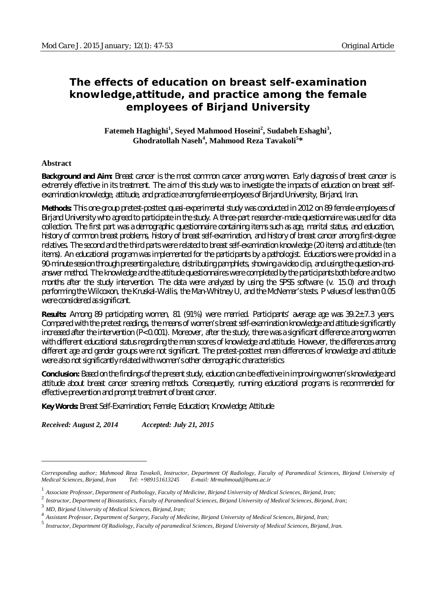# **The effects of education on breast self-examination knowledge,attitude, and practice among the female employees of Birjand University**

**Fatemeh Haghighi<sup>1</sup> , Seyed Mahmood Hoseini<sup>2</sup> , Sudabeh Eshaghi<sup>3</sup> , Ghodratollah Naseh<sup>4</sup> , Mahmood Reza Tavakoli<sup>5</sup> \***

#### **Abstract**

 $\overline{a}$ 

**Background and Aim:** Breast cancer is the most common cancer among women. Early diagnosis of breast cancer is extremely effective in its treatment. The aim of this study was to investigate the impacts of education on breast selfexamination knowledge, attitude, and practice among female employees of Birjand University, Birjand, Iran.

**Methods:** This one-group pretest-posttest quasi-experimental study was conducted in 2012 on 89 female employees of Birjand University who agreed to participate in the study. A three-part researcher-made questionnaire was used for data collection. The first part was a demographic questionnaire containing items such as age, marital status, and education, history of common breast problems, history of breast self-examination, and history of breast cancer among first-degree relatives. The second and the third parts were related to breast self-examination knowledge (20 items) and attitude (ten items). An educational program was implemented for the participants by a pathologist. Educations were provided in a 90-minute session through presenting a lecture, distributing pamphlets, showing a video clip, and using the question-andanswer method. The knowledge and the attitude questionnaires were completed by the participants both before and two months after the study intervention. The data were analyzed by using the SPSS software (v. 15.0) and through performing the Wilcoxon, the Kruskal-Wallis, the Man-Whitney U, and the McNemar's tests. P values of less than 0.05 were considered as significant.

**Results:** Among 89 participating women, 81 (91%) were married. Participants' average age was 39.2±7.3 years. Compared with the pretest readings, the means of women's breast self-examination knowledge and attitude significantly increased after the intervention  $(P<0.001)$ . Moreover, after the study, there was a significant difference among women with different educational status regarding the mean scores of knowledge and attitude. However, the differences among different age and gender groups were not significant. The pretest-posttest mean differences of knowledge and attitude were also not significantly related with women's other demographic characteristics

**Conclusion:** Based on the findings of the present study, education can be effective in improving women's knowledge and attitude about breast cancer screening methods. Consequently, running educational programs is recommended for effective prevention and prompt treatment of breast cancer.

**Key Words:** Breast Self-Examination; Female; Education; Knowledge; Attitude

*Received: August 2, 2014 Accepted: July 21, 2015*

*Corresponding author; Mahmood Reza Tavakoli, Instructor, Department Of Radiology, Faculty of Paramedical Sciences, Birjand University of Medical Sciences, Birjand, Iran Tel: +989151613245 E-mail: [Mrmahmoud@bums.ac.ir](mailto:Mrmahmoud@bums.ac.ir)*

<sup>1</sup> *Associate Professor, Department of Pathology, Faculty of Medicine, Birjand University of Medical Sciences, Birjand, Iran;*

<sup>2</sup> *Instructor, Department of Biostatistics, Faculty of Paramedical Sciences, Birjand University of Medical Sciences, Birjand, Iran;*

<sup>3</sup> *MD, Birjand University of Medical Sciences, Birjand, Iran;*

<sup>4</sup> *Assistant Professor, Department of Surgery, Faculty of Medicine, Birjand University of Medical Sciences, Birjand, Iran;*

<sup>5</sup> *Instructor, Department Of Radiology, Faculty of paramedical Sciences, Birjand University of Medical Sciences, Birjand, Iran.*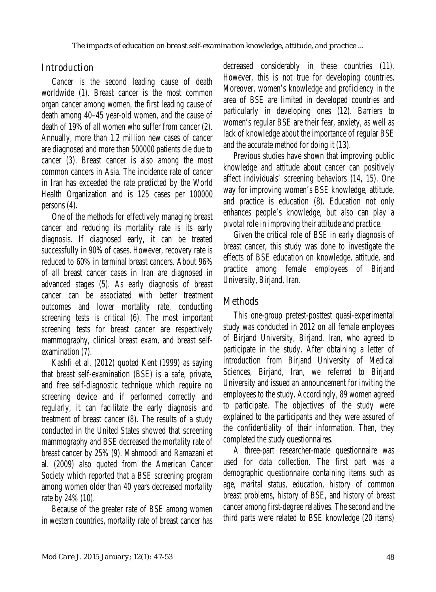## Introduction

Cancer is the second leading cause of death worldwide (1). Breast cancer is the most common organ cancer among women, the first leading cause of death among 40–45 year-old women, and the cause of death of 19% of all women who suffer from cancer (2). Annually, more than 1.2 million new cases of cancer are diagnosed and more than 500000 patients die due to cancer (3). Breast cancer is also among the most common cancers in Asia. The incidence rate of cancer in Iran has exceeded the rate predicted by the World Health Organization and is 125 cases per 100000 persons (4).

One of the methods for effectively managing breast cancer and reducing its mortality rate is its early diagnosis. If diagnosed early, it can be treated successfully in 90% of cases. However, recovery rate is reduced to 60% in terminal breast cancers. About 96% of all breast cancer cases in Iran are diagnosed in advanced stages (5). As early diagnosis of breast cancer can be associated with better treatment outcomes and lower mortality rate, conducting screening tests is critical (6). The most important screening tests for breast cancer are respectively mammography, clinical breast exam, and breast selfexamination (7).

Kashfi et al. (2012) quoted Kent (1999) as saying that breast self-examination (BSE) is a safe, private, and free self-diagnostic technique which require no screening device and if performed correctly and regularly, it can facilitate the early diagnosis and treatment of breast cancer (8). The results of a study conducted in the United States showed that screening mammography and BSE decreased the mortality rate of breast cancer by 25% (9). Mahmoodi and Ramazani et al. (2009) also quoted from the American Cancer Society which reported that a BSE screening program among women older than 40 years decreased mortality rate by 24% (10).

Because of the greater rate of BSE among women in western countries, mortality rate of breast cancer has

decreased considerably in these countries (11). However, this is not true for developing countries. Moreover, women's knowledge and proficiency in the area of BSE are limited in developed countries and particularly in developing ones (12). Barriers to women's regular BSE are their fear, anxiety, as well as lack of knowledge about the importance of regular BSE and the accurate method for doing it (13).

Previous studies have shown that improving public knowledge and attitude about cancer can positively affect individuals' screening behaviors (14, 15). One way for improving women's BSE knowledge, attitude, and practice is education (8). Education not only enhances people's knowledge, but also can play a pivotal role in improving their attitude and practice.

Given the critical role of BSE in early diagnosis of breast cancer, this study was done to investigate the effects of BSE education on knowledge, attitude, and practice among female employees of Birjand University, Birjand, Iran.

## Methods

This one-group pretest-posttest quasi-experimental study was conducted in 2012 on all female employees of Birjand University, Birjand, Iran, who agreed to participate in the study. After obtaining a letter of introduction from Birjand University of Medical Sciences, Birjand, Iran, we referred to Birjand University and issued an announcement for inviting the employees to the study. Accordingly, 89 women agreed to participate. The objectives of the study were explained to the participants and they were assured of the confidentiality of their information. Then, they completed the study questionnaires.

A three-part researcher-made questionnaire was used for data collection. The first part was a demographic questionnaire containing items such as age, marital status, education, history of common breast problems, history of BSE, and history of breast cancer among first-degree relatives. The second and the third parts were related to BSE knowledge (20 items)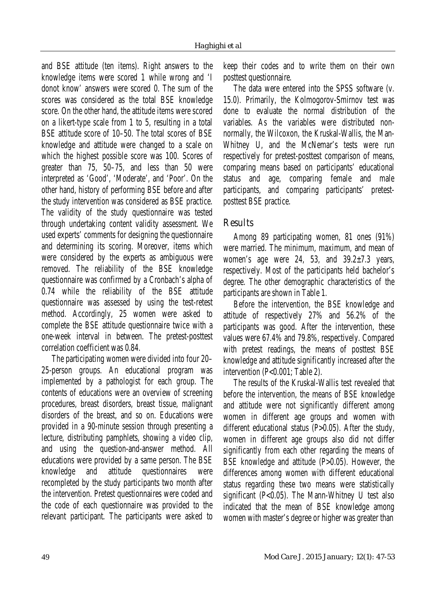and BSE attitude (ten items). Right answers to the knowledge items were scored 1 while wrong and 'I donot know' answers were scored 0. The sum of the scores was considered as the total BSE knowledge score. On the other hand, the attitude items were scored on a likert-type scale from 1 to 5, resulting in a total BSE attitude score of 10–50. The total scores of BSE knowledge and attitude were changed to a scale on which the highest possible score was 100. Scores of greater than 75, 50–75, and less than 50 were interpreted as 'Good', 'Moderate', and 'Poor'. On the other hand, history of performing BSE before and after the study intervention was considered as BSE practice. The validity of the study questionnaire was tested through undertaking content validity assessment. We used experts' comments for designing the questionnaire and determining its scoring. Moreover, items which were considered by the experts as ambiguous were removed. The reliability of the BSE knowledge questionnaire was confirmed by a Cronbach's alpha of 0.74 while the reliability of the BSE attitude questionnaire was assessed by using the test-retest method. Accordingly, 25 women were asked to complete the BSE attitude questionnaire twice with a one-week interval in between. The pretest-posttest correlation coefficient was 0.84.

The participating women were divided into four 20– 25-person groups. An educational program was implemented by a pathologist for each group. The contents of educations were an overview of screening procedures, breast disorders, breast tissue, malignant disorders of the breast, and so on. Educations were provided in a 90-minute session through presenting a lecture, distributing pamphlets, showing a video clip, and using the question-and-answer method. All educations were provided by a same person. The BSE knowledge and attitude questionnaires were recompleted by the study participants two month after the intervention. Pretest questionnaires were coded and the code of each questionnaire was provided to the relevant participant. The participants were asked to

keep their codes and to write them on their own posttest questionnaire.

The data were entered into the SPSS software (v. 15.0). Primarily, the Kolmogorov-Smirnov test was done to evaluate the normal distribution of the variables. As the variables were distributed nonnormally, the Wilcoxon, the Kruskal-Wallis, the Man-Whitney U, and the McNemar's tests were run respectively for pretest-posttest comparison of means, comparing means based on participants' educational status and age, comparing female and male participants, and comparing participants' pretestposttest BSE practice.

## **Results**

Among 89 participating women, 81 ones (91%) were married. The minimum, maximum, and mean of women's age were 24, 53, and  $39.2 \pm 7.3$  years, respectively. Most of the participants held bachelor's degree. The other demographic characteristics of the participants are shown in Table 1.

Before the intervention, the BSE knowledge and attitude of respectively 27% and 56.2% of the participants was good. After the intervention, these values were 67.4% and 79.8%, respectively. Compared with pretest readings, the means of posttest BSE knowledge and attitude significantly increased after the intervention (P<0.001; Table 2).

The results of the Kruskal-Wallis test revealed that before the intervention, the means of BSE knowledge and attitude were not significantly different among women in different age groups and women with different educational status (P>0.05). After the study, women in different age groups also did not differ significantly from each other regarding the means of BSE knowledge and attitude (P>0.05). However, the differences among women with different educational status regarding these two means were statistically significant (P<0.05). The Mann-Whitney U test also indicated that the mean of BSE knowledge among women with master's degree or higher was greater than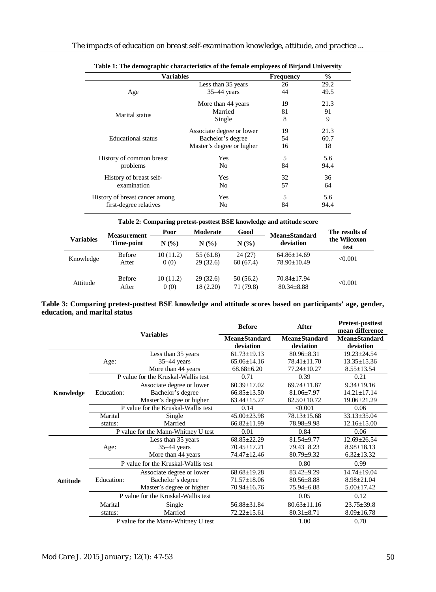| <b>Variables</b>               |                           | <b>Frequency</b> | $\frac{6}{9}$ |  |
|--------------------------------|---------------------------|------------------|---------------|--|
|                                | Less than 35 years        | 26               | 29.2          |  |
| Age                            | $35-44$ years             | 44               | 49.5          |  |
| Marital status                 | More than 44 years        | 19               | 21.3          |  |
|                                | Married                   | 81               | 91            |  |
|                                | Single                    | 8                | 9             |  |
|                                | Associate degree or lower | 19               | 21.3          |  |
| <b>Educational</b> status      | Bachelor's degree         | 54               | 60.7          |  |
|                                | Master's degree or higher | 16               | 18            |  |
| History of common breast       | Yes                       | 5                | 5.6           |  |
| problems                       | No                        | 84               | 94.4          |  |
| History of breast self-        | Yes                       | 32               | 36            |  |
| examination                    | No                        | 57               | 64            |  |
| History of breast cancer among | Yes                       | 5                | 5.6           |  |
| first-degree relatives         | No                        | 84               | 94.4          |  |

**Table 2: Comparing pretest-posttest BSE knowledge and attitude score Variables Measurement Time-point Poor Moderate Good Mean±Standard deviation The results of the Wilcoxon N** (%) **N** (%) **N** (%) **deviation the WHC** Knowledge Before  $10 (11.2)$  55 (61.8) 24 (27) 64.86±14.69 <0.001<br>After 0 (0) 29 (32.6) 60 (67.4) 78.90±10.49 <0.001 Attitude Before 10 (11.2) 29 (32.6) 50 (56.2) 70.84±17.94 <0.001<br>After 0 (0) 18 (2.20) 71 (79.8) 80.34±8.88 <0.001

#### **Table 3: Comparing pretest-posttest BSE knowledge and attitude scores based on participants' age, gender, education, and marital status**

|                 | <b>Variables</b>                            |                                     | <b>Before</b>              | After                              | <b>Pretest-posttest</b><br>mean difference |
|-----------------|---------------------------------------------|-------------------------------------|----------------------------|------------------------------------|--------------------------------------------|
|                 |                                             |                                     | Mean±Standard<br>deviation | <b>Mean</b> ±Standard<br>deviation | Mean±Standard<br>deviation                 |
| Knowledge       | Age:                                        | Less than 35 years                  | $61.73 + 19.13$            | $80.96 + 8.31$                     | $19.23 + 24.54$                            |
|                 |                                             | $35-44$ years                       | $65.06 \pm 14.16$          | 78.41±11.70                        | $13.35 \pm 15.36$                          |
|                 |                                             | More than 44 years                  | $68.68 \pm 6.20$           | 77.24±10.27                        | $8.55 \pm 13.54$                           |
|                 | P value for the Kruskal-Wallis test         |                                     | 0.71                       | 0.39                               | 0.21                                       |
|                 | Education:                                  | Associate degree or lower           | $60.39 \pm 17.02$          | $69.74 + 11.87$                    | $9.34 \pm 19.16$                           |
|                 |                                             | Bachelor's degree                   | $66.85 \pm 13.50$          | $81.06 + 7.97$                     | $14.21 + 17.14$                            |
|                 |                                             | Master's degree or higher           | $63.44 \pm 15.27$          | $82.50 \pm 10.72$                  | 19.06±21.29                                |
|                 | P value for the Kruskal-Wallis test         |                                     | 0.14                       | < 0.001                            | 0.06                                       |
|                 | Marital                                     | Single                              | $45.00 \pm 23.98$          | $78.13 \pm 15.68$                  | $33.13 \pm 35.04$                          |
|                 | status:                                     | Married                             | $66.82 \pm 11.99$          | 78.98±9.98                         | $12.16 \pm 15.00$                          |
|                 | P value for the Mann-Whitney U test<br>0.01 |                                     |                            | 0.84                               | 0.06                                       |
| <b>Attitude</b> |                                             | Less than 35 years                  | $68.85 \pm 22.29$          | $81.54 \pm 9.77$                   | $12.69 \pm 26.54$                          |
|                 | Age:                                        | $35-44$ years                       | $70.45 \pm 17.21$          | $79.43 \pm 8.23$                   | $8.98 \pm 18.13$                           |
|                 |                                             | More than 44 years                  | 74.47±12.46                | $80.79 \pm 9.32$                   | $6.32 \pm 13.32$                           |
|                 |                                             | P value for the Kruskal-Wallis test |                            | 0.80                               | 0.99                                       |
|                 | Education:                                  | Associate degree or lower           | $68.68 \pm 19.28$          | $83.42 \pm 9.29$                   | $14.74 \pm 19.04$                          |
|                 |                                             | Bachelor's degree                   | $71.57 \pm 18.06$          | $80.56 \pm 8.88$                   | $8.98 \pm 21.04$                           |
|                 |                                             | Master's degree or higher           | $70.94 \pm 16.76$          | $75.94 \pm 6.88$                   | $5.00 \pm 17.42$                           |
|                 |                                             | P value for the Kruskal-Wallis test |                            | 0.05                               | 0.12                                       |
|                 | Marital                                     | Single                              | 56.88±31.84                | $80.63 \pm 11.16$                  | $23.75 \pm 39.8$                           |
|                 | status:                                     | Married                             | $72.22 \pm 15.61$          | $80.31 \pm 8.71$                   | $8.09 \pm 16.78$                           |
|                 | P value for the Mann-Whitney U test         |                                     |                            | 1.00                               | 0.70                                       |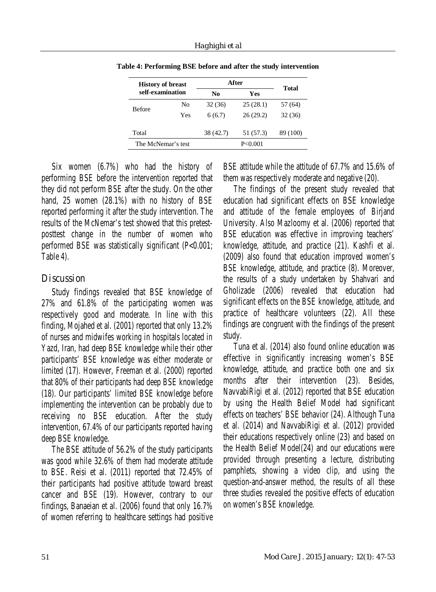| <b>History of breast</b><br>self-examination |     | After     |           | Total    |
|----------------------------------------------|-----|-----------|-----------|----------|
|                                              |     | No        | Yes       |          |
| <b>Before</b>                                | No  | 32 (36)   | 25(28.1)  | 57 (64)  |
|                                              | Yes | 6(6.7)    | 26(29.2)  | 32(36)   |
| Total                                        |     | 38 (42.7) | 51 (57.3) | 89 (100) |
| The McNemar's test                           |     |           | P < 0.001 |          |

**Table 4: Performing BSE before and after the study intervention**

Six women (6.7%) who had the history of performing BSE before the intervention reported that they did not perform BSE after the study. On the other hand, 25 women (28.1%) with no history of BSE reported performing it after the study intervention. The results of the McNemar's test showed that this pretestposttest change in the number of women who performed BSE was statistically significant (P<0.001; Table 4).

## Discussion

Study findings revealed that BSE knowledge of 27% and 61.8% of the participating women was respectively good and moderate. In line with this finding, Mojahed et al. (2001) reported that only 13.2% of nurses and midwifes working in hospitals located in Yazd, Iran, had deep BSE knowledge while their other participants' BSE knowledge was either moderate or limited (17). However, Freeman et al. (2000) reported that 80% of their participants had deep BSE knowledge (18). Our participants' limited BSE knowledge before implementing the intervention can be probably due to receiving no BSE education. After the study intervention, 67.4% of our participants reported having deep BSE knowledge.

The BSE attitude of 56.2% of the study participants was good while 32.6% of them had moderate attitude to BSE. Reisi et al. (2011) reported that 72.45% of their participants had positive attitude toward breast cancer and BSE (19). However, contrary to our findings, Banaeian et al. (2006) found that only 16.7% of women referring to healthcare settings had positive

BSE attitude while the attitude of 67.7% and 15.6% of them was respectively moderate and negative (20).

The findings of the present study revealed that education had significant effects on BSE knowledge and attitude of the female employees of Birjand University. Also Mazloomy et al. (2006) reported that BSE education was effective in improving teachers' knowledge, attitude, and practice (21). Kashfi et al. (2009) also found that education improved women's BSE knowledge, attitude, and practice (8). Moreover, the results of a study undertaken by Shahvari and Gholizade (2006) revealed that education had significant effects on the BSE knowledge, attitude, and practice of healthcare volunteers (22). All these findings are congruent with the findings of the present study.

Tuna et al. (2014) also found online education was effective in significantly increasing women's BSE knowledge, attitude, and practice both one and six months after their intervention (23). Besides, NavvabiRigi et al. (2012) reported that BSE education by using the Health Belief Model had significant effects on teachers' BSE behavior (24). Although Tuna et al. (2014) and NavvabiRigi et al. (2012) provided their educations respectively online (23) and based on the Health Belief Model(24) and our educations were provided through presenting a lecture, distributing pamphlets, showing a video clip, and using the question-and-answer method, the results of all these three studies revealed the positive effects of education on women's BSE knowledge.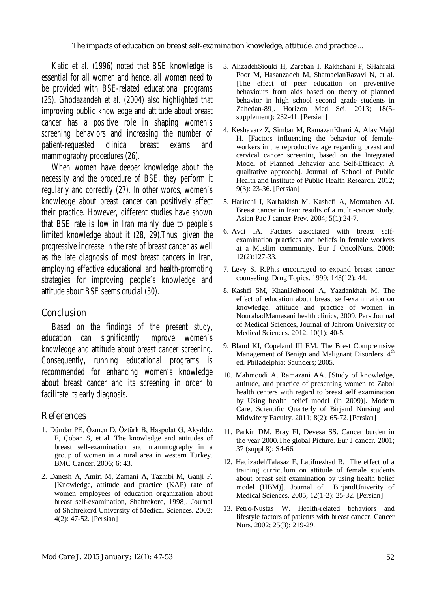Katic et al. (1996) noted that BSE knowledge is essential for all women and hence, all women need to be provided with BSE-related educational programs (25). Ghodazandeh et al. (2004) also highlighted that improving public knowledge and attitude about breast cancer has a positive role in shaping women's screening behaviors and increasing the number of patient-requested clinical breast exams and mammography procedures (26).

When women have deeper knowledge about the necessity and the procedure of BSE, they perform it regularly and correctly (27). In other words, women's knowledge about breast cancer can positively affect their practice. However, different studies have shown that BSE rate is low in Iran mainly due to people's limited knowledge about it (28, 29).Thus, given the progressive increase in the rate of breast cancer as well as the late diagnosis of most breast cancers in Iran, employing effective educational and health-promoting strategies for improving people's knowledge and attitude about BSE seems crucial (30).

## Conclusion

Based on the findings of the present study, education can significantly improve women's knowledge and attitude about breast cancer screening. Consequently, running educational programs is recommended for enhancing women's knowledge about breast cancer and its screening in order to facilitate its early diagnosis.

## References

- 1. Dündar PE, Özmen D, Öztürk B, Haspolat G, Akyıldız F, Çoban S, et al. The knowledge and attitudes of breast self-examination and mammography in a group of women in a rural area in western Turkey. BMC Cancer. 2006; 6: 43.
- 2. Danesh A, Amiri M, Zamani A, Tazhibi M, Ganji F. [Knowledge, attitude and practice (KAP) rate of women employees of education organization about breast self-examination, Shahrekord, 1998]. Journal of Shahrekord University of Medical Sciences. 2002; 4(2): 47-52. [Persian]
- 3. AlizadehSiouki H, Zareban I, Rakhshani F, SHahraki Poor M, Hasanzadeh M, ShamaeianRazavi N, et al. [The effect of peer education on preventive behaviours from aids based on theory of planned behavior in high school second grade students in Zahedan-89]. Horizon Med Sci. 2013; 18(5 supplement): 232-41. [Persian]
- 4. Keshavarz Z, Simbar M, RamazanKhani A, AlaviMajd H. [Factors influencing the behavior of femaleworkers in the reproductive age regarding breast and cervical cancer screening based on the Integrated Model of Planned Behavior and Self-Efficacy: A qualitative approach]. Journal of School of Public Health and Institute of Public Health Research. 2012; 9(3): 23-36. [Persian]
- 5. Harirchi I, Karbakhsh M, Kashefi A, Momtahen AJ. Breast cancer in Iran: results of a multi-cancer study. Asian Pac J cancer Prev. 2004; 5(1):24-7.
- 6. Avci IA. Factors associated with breast selfexamination practices and beliefs in female workers at a Muslim community. Eur J OncolNurs. 2008; 12(2):127-33.
- 7. Levy S. R.Ph.s encouraged to expand breast cancer counseling. Drug Topics. 1999; 143(12): 44.
- 8. Kashfi SM, KhaniJeihooni A, Yazdankhah M. The effect of education about breast self-examination on knowledge, attitude and practice of women in NourabadMamasani health clinics, 2009. Pars Journal of Medical Sciences, Journal of Jahrom University of Medical Sciences. 2012; 10(1): 40-5.
- 9. Bland KI, Copeland III EM. The Brest Compreinsive Management of Benign and Malignant Disorders. 4<sup>th</sup> ed. Philadelphia: Saunders; 2005.
- 10. Mahmoodi A, Ramazani AA. [Study of knowledge, attitude, and practice of presenting women to Zabol health centers with regard to breast self examination by Using health belief model (in 2009)]. Modern Care, Scientific Quarterly of Birjand Nursing and Midwifery Faculty. 2011; 8(2): 65-72. [Persian]
- 11. Parkin DM, Bray FI, Devesa SS. Cancer burden in the year 2000.The global Picture. Eur J cancer. 2001; 37 (suppl 8): S4-66.
- 12. HadizadehTalasaz F, Latifnezhad R. [The effect of a training curriculum on attitude of female students about breast self examination by using health belief model (HBM)]. Journal of BirjandUniverity of Medical Sciences. 2005; 12(1-2): 25-32. [Persian]
- 13. Petro-Nustas W. Health-related behaviors and lifestyle factors of patients with breast cancer. Cancer Nurs. 2002; 25(3): 219-29.